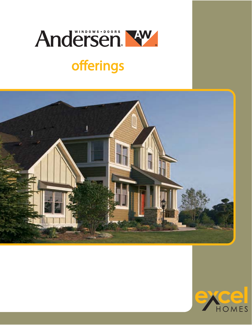# Andersen Kw

## offerings



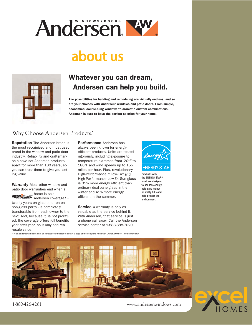

## about us



## Whatever you can dream, Andersen can help you build.

The possibilities for building and remodeling are virtually endless, and so are your choices with Andersen® windows and patio doors. From simple, economical double-hung windows to dramatic custom combinations, Andersen is sure to have the perfect solution for your home.

### Why Choose Andersen Products?

**Reputation** The Andersen brand is the most recognized and most used brand in the window and patio door industry. Reliability and craftsmanship have set Andersen products apart for more than 100 years, so you can trust them to give you lasting value.

Warranty Most other window and patio door warranties end when a home is sold. Andersen coverage\* twenty years on glass and ten on non-glass parts - is completely transferable from each owner to the next. And, because it is not prorated, the coverage offers full benefits year after year, so it may add real

Performance Andersen has always been known for energyefficient products. Units are tested rigorously, including exposure to temperature extremes from -20°F to 180°F and wind speeds up to 155 miles per hour. Plus, revolutionary High-Performance™ Low-E4® and High-Performance Low-E4 Sun glass is 35% more energy efficient than ordinary dual-pane glass in the winter and 41% more energy efficient in the summer.

Service A warranty is only as valuable as the service behind it. With Andersen, that service is just a phone call away. Call the Andersen service center at 1-888-888-7020.



Products with the ENERGY STAR® label are designed to use less energy, help save money on utility bills and help protect the environment.

\* Visit andersenwindows.com or contact your builder to obtain a copy of the complete Andersen Owner-2-Owner® limited warranty.



resale value.

1-800-426-4261 www.andersenwindows.com

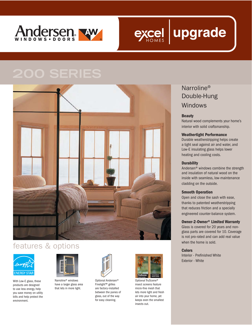





### features & options



With Low-E glass, these products are designed to use less energy, help you save money on utility bills and help protect the environment.



Narroline® windows have a larger glass area that lets in more light.



Optional Andersen® Finelight™ grilles are factory-installed between the panes of glass, out of the way for easy cleaning.



Optional TruScene<sup>®</sup> insect screens feature micro-fine mesh that lets more light and fresh air into your home, yet keeps even the smallest insects out.

## Narroline<sup>®</sup> Double-Hung Windows

### **Beauty**

Natural wood complements your home's interior with solid craftsmanship.

### **Weathertight Performance**

Durable weatherstripping helps create a tight seal against air and water, and Low-E insulating glass helps lower heating and cooling costs.

### **Durability**

Andersen® windows combine the strength and insulation of natural wood on the inside with seamless, low-maintenance cladding on the outside.

### **Smooth Operation**

Open and close the sash with ease, thanks to patented weatherstripping that reduces friction and a specially engineered counter-balance system.

### **Owner-2-Owner® Limited Warranty**

Glass is covered for 20 years and nonglass parts are covered for 10. Coverage is not pro-rated and can add real value when the home is sold.

#### **Colors**

Interior - Prefinished White Exterior - White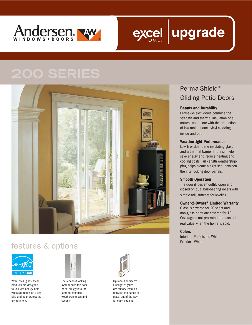



## features & options



With Low-E glass, these products are designed to use less energy, help you save money on utility bills and help protect the environment.



The reachout locking system pulls the door panel snugly into the jamb to enhance weathertightness and security



Optional Andersen® Finelight™ grilles are factory-installed between the panes of glass, out of the way for easy cleaning.

## Perma-Shield® Gliding Patio Doors

### **Beauty and Durability**

Perma-Shield® doors combine the strength and thermal insulation of a natural wood core with the protection of low-maintenance vinyl cladding inside and out.

### **Weathertight Performance**

Low-E or dual-pane insulating glass and a thermal barrier in the sill help save energy and reduce heating and cooling costs. Full-length weatherstripping helps create a tight seal between the interlocking door panels.

### **Smooth Operation**

The door glides smoothly open and closed on dual ball-bearing rollers with simple adjustments for leveling.

### **Owner-2-Owner® Limited Warranty**

Glass is covered for 20 years and non-glass parts are covered for 10. Coverage is not pro-rated and can add real value when the home is sold.

### **Colors**

Interior - Prefinished White Exterior - White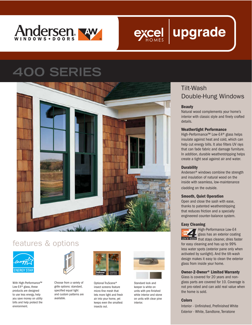



## **SERIES**



## features & options



With High-Performance™ Low-E4® glass, these products are designed to use less energy, help you save money on utility bills and help protect the environment.



Choose from a variety of grille options: standard, specified equal light and custom patterns are available.



Optional TruScene® insect screens feature micro-fine mesh that lets more light and fresh air into your home, yet keeps even the smallest insects out.



Standard lock and keeper is white on units with pre-finished white interior and stone on units with clear pine interior.

## Tilt-Wash Double-Hung Windows

### **Beauty**

Natural wood complements your home's interior with classic style and finely crafted details.

### **Weathertight Performance**

High-Performance™ Low-E4® glass helps insulate against heat and cold, which can help cut energy bills. It also filters UV rays that can fade fabric and damage furniture. In addition, durable weatherstripping helps create a tight seal against air and water.

### **Durability**

Andersen® windows combine the strength and insulation of natural wood on the inside with seamless, low-maintenance cladding on the outside.

### **Smooth, Quiet Operation**

Open and close the sash with ease, thanks to patented weatherstripping that reduces friction and a specially engineered counter-balance system.

### **Easy Cleaning**

High-Performance Low-E4 glass has an exterior coating to a control that stays cleaner, dries faster for easy cleaning and has up to 99% less water spots (exterior pane only when activated by sunlight). And the tilt-wash design makes it easy to clean the exterior glass from inside your home.

### **Owner-2-Owner® Limited Warranty**

Glass is covered for 20 years and nonglass parts are covered for 10. Coverage is not pro-rated and can add real value when the home is sold.

### **Colors**

Interior - Unfinished, Prefinished White Exterior - White, Sandtone, Terratone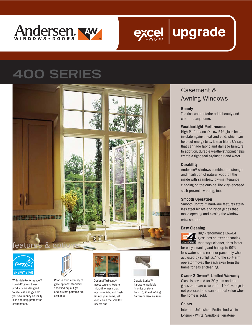

## **400 SERIES**





With High-Performance™ Low-E4® glass, these products are designed to use less energy, help you save money on utility bills and help protect the environment.



Choose from a variety of grille options: standard, specified equal light and custom patterns are available.



Optional TruScene® insect screens feature micro-fine mesh that lets more light and fresh air into your home, yet keeps even the smallest insects out.



Classic Series™ hardware available in white or stone finish. *Optional folding hardware also availabe.*

### Casement & Awning Windows

### **Beauty**

The rich wood interior adds beauty and charm to any home.

### **Weathertight Performance**

High-Performance™ Low-E4® glass helps insulate against heat and cold, which can help cut energy bills. It also filters UV rays that can fade fabric and damage furniture. In addition, durable weatherstripping helps create a tight seal against air and water.

### **Durability**

Andersen® windows combine the strength and insulation of natural wood on the inside with seamless, low-maintenance cladding on the outside. The vinyl-encased sash prevents warping, too.

### **Smooth Operation**

Smooth Control™ hardware features stainless steel hinges and nylon glides that make opening and closing the window extra smooth.

### **Easy Cleaning**



High-Performance Low-E4 glass has an exterior coating that stays cleaner, dries faster

for easy cleaning and has up to 99% less water spots (exterior pane only when activated by sunlight). And the split-arm operator moves the sash away form the frame for easier cleaning.

### **Owner-2-Owner® Limited Warranty**

Glass is covered for 20 years and nonglass parts are covered for 10. Coverage is not pro-rated and can add real value when the home is sold.

### **Colors**

Interior - Unfinished, Prefinished White Exterior - White, Sandtone, Terratone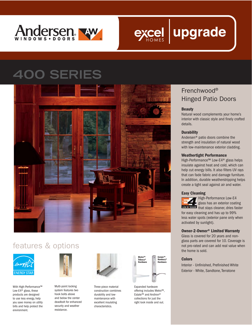

## **OO SERIES**



## features & options



With High-Performance™ Low-E4® glass, these products are designed to use less energy, help you save money on utility bills and help protect the environment.



Multi-point locking system features two hook bolts above and below the center deadbolt for enhanced security and weather resistance.



Three-piece material construction combines durability and lowmaintenance with excellent insulating characteristics.



Expanded hardware offering includes Metro™, Estate™ and Andiron® collections for just the right look inside and out.

## Frenchwood® Hinged Patio Doors

### **Beauty**

Natural wood complements your home's interior with classic style and finely crafted details.

### **Durability**

Andersen® patio doors combine the strength and insulation of natural wood with low-maintenance exterior cladding.

### **Weathertight Performance**

High-Performance™ Low-E4® glass helps insulate against heat and cold, which can help cut energy bills. It also filters UV rays that can fade fabric and damage furniture. In addition, durable weatherstripping helps create a tight seal against air and water.

#### **Easy Cleaning**



**High-Performance Low-E4** glass has an exterior coating that stays cleaner, dries faster

for easy cleaning and has up to 99% less water spots (exterior pane only when activated by sunlight).

### **Owner-2-Owner® Limited Warranty**

Glass is covered for 20 years and nonglass parts are covered for 10. Coverage is not pro-rated and can add real value when the home is sold.

### **Colors**

Interior - Unfinished, Prefinished White Exterior - White, Sandtone, Terratone